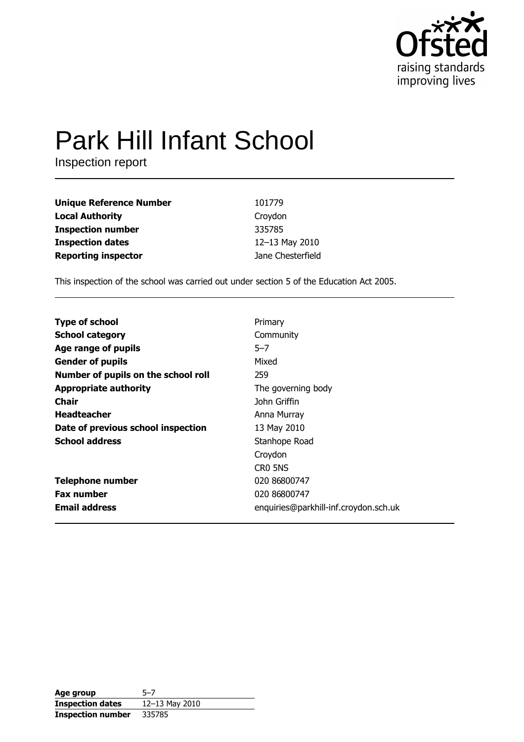

# **Park Hill Infant School**

Inspection report

| <b>Unique Reference Number</b> | 101779            |
|--------------------------------|-------------------|
| <b>Local Authority</b>         | Croydon           |
| <b>Inspection number</b>       | 335785            |
| <b>Inspection dates</b>        | 12-13 May 2010    |
| <b>Reporting inspector</b>     | Jane Chesterfield |

This inspection of the school was carried out under section 5 of the Education Act 2005.

| <b>Type of school</b>               | Primary                               |
|-------------------------------------|---------------------------------------|
| <b>School category</b>              | Community                             |
| Age range of pupils                 | $5 - 7$                               |
| <b>Gender of pupils</b>             | Mixed                                 |
| Number of pupils on the school roll | 259                                   |
| <b>Appropriate authority</b>        | The governing body                    |
| Chair                               | John Griffin                          |
| <b>Headteacher</b>                  | Anna Murray                           |
| Date of previous school inspection  | 13 May 2010                           |
| <b>School address</b>               | Stanhope Road                         |
|                                     | Croydon                               |
|                                     | CRO 5NS                               |
| <b>Telephone number</b>             | 020 86800747                          |
| <b>Fax number</b>                   | 020 86800747                          |
| <b>Email address</b>                | enquiries@parkhill-inf.croydon.sch.uk |

| Age group                | $5 - 7$            |
|--------------------------|--------------------|
| <b>Inspection dates</b>  | $12 - 13$ May 2010 |
| <b>Inspection number</b> | 335785             |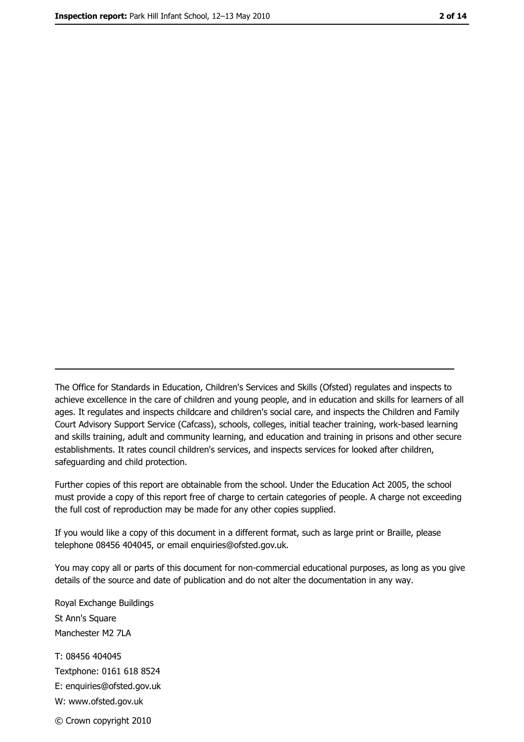The Office for Standards in Education, Children's Services and Skills (Ofsted) regulates and inspects to achieve excellence in the care of children and young people, and in education and skills for learners of all ages. It regulates and inspects childcare and children's social care, and inspects the Children and Family Court Advisory Support Service (Cafcass), schools, colleges, initial teacher training, work-based learning and skills training, adult and community learning, and education and training in prisons and other secure establishments. It rates council children's services, and inspects services for looked after children, safequarding and child protection.

Further copies of this report are obtainable from the school. Under the Education Act 2005, the school must provide a copy of this report free of charge to certain categories of people. A charge not exceeding the full cost of reproduction may be made for any other copies supplied.

If you would like a copy of this document in a different format, such as large print or Braille, please telephone 08456 404045, or email enquiries@ofsted.gov.uk.

You may copy all or parts of this document for non-commercial educational purposes, as long as you give details of the source and date of publication and do not alter the documentation in any way.

Royal Exchange Buildings St Ann's Square Manchester M2 7LA T: 08456 404045 Textphone: 0161 618 8524 E: enquiries@ofsted.gov.uk W: www.ofsted.gov.uk © Crown copyright 2010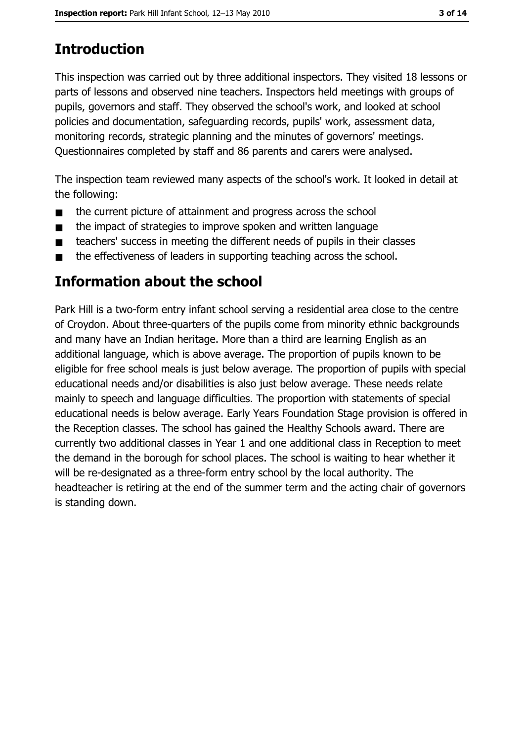## **Introduction**

This inspection was carried out by three additional inspectors. They visited 18 lessons or parts of lessons and observed nine teachers. Inspectors held meetings with groups of pupils, governors and staff. They observed the school's work, and looked at school policies and documentation, safeguarding records, pupils' work, assessment data, monitoring records, strategic planning and the minutes of governors' meetings. Ouestionnaires completed by staff and 86 parents and carers were analysed.

The inspection team reviewed many aspects of the school's work. It looked in detail at the following:

- the current picture of attainment and progress across the school  $\blacksquare$
- the impact of strategies to improve spoken and written language  $\blacksquare$
- teachers' success in meeting the different needs of pupils in their classes  $\blacksquare$
- the effectiveness of leaders in supporting teaching across the school.  $\blacksquare$

## Information about the school

Park Hill is a two-form entry infant school serving a residential area close to the centre of Croydon. About three-quarters of the pupils come from minority ethnic backgrounds and many have an Indian heritage. More than a third are learning English as an additional language, which is above average. The proportion of pupils known to be eligible for free school meals is just below average. The proportion of pupils with special educational needs and/or disabilities is also just below average. These needs relate mainly to speech and language difficulties. The proportion with statements of special educational needs is below average. Early Years Foundation Stage provision is offered in the Reception classes. The school has gained the Healthy Schools award. There are currently two additional classes in Year 1 and one additional class in Reception to meet the demand in the borough for school places. The school is waiting to hear whether it will be re-designated as a three-form entry school by the local authority. The headteacher is retiring at the end of the summer term and the acting chair of governors is standing down.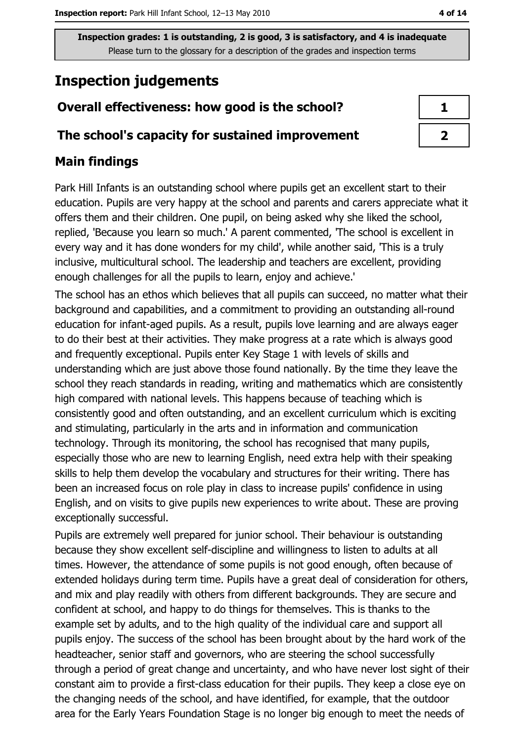## **Inspection judgements**

### Overall effectiveness: how good is the school?

#### The school's capacity for sustained improvement

#### **Main findings**

Park Hill Infants is an outstanding school where pupils get an excellent start to their education. Pupils are very happy at the school and parents and carers appreciate what it offers them and their children. One pupil, on being asked why she liked the school, replied, 'Because you learn so much.' A parent commented, 'The school is excellent in every way and it has done wonders for my child', while another said, 'This is a truly inclusive, multicultural school. The leadership and teachers are excellent, providing enough challenges for all the pupils to learn, enjoy and achieve.'

The school has an ethos which believes that all pupils can succeed, no matter what their background and capabilities, and a commitment to providing an outstanding all-round education for infant-aged pupils. As a result, pupils love learning and are always eager to do their best at their activities. They make progress at a rate which is always good and frequently exceptional. Pupils enter Key Stage 1 with levels of skills and understanding which are just above those found nationally. By the time they leave the school they reach standards in reading, writing and mathematics which are consistently high compared with national levels. This happens because of teaching which is consistently good and often outstanding, and an excellent curriculum which is exciting and stimulating, particularly in the arts and in information and communication technology. Through its monitoring, the school has recognised that many pupils, especially those who are new to learning English, need extra help with their speaking skills to help them develop the vocabulary and structures for their writing. There has been an increased focus on role play in class to increase pupils' confidence in using English, and on visits to give pupils new experiences to write about. These are proving exceptionally successful.

Pupils are extremely well prepared for junior school. Their behaviour is outstanding because they show excellent self-discipline and willingness to listen to adults at all times. However, the attendance of some pupils is not good enough, often because of extended holidays during term time. Pupils have a great deal of consideration for others, and mix and play readily with others from different backgrounds. They are secure and confident at school, and happy to do things for themselves. This is thanks to the example set by adults, and to the high quality of the individual care and support all pupils enjoy. The success of the school has been brought about by the hard work of the headteacher, senior staff and governors, who are steering the school successfully through a period of great change and uncertainty, and who have never lost sight of their constant aim to provide a first-class education for their pupils. They keep a close eye on the changing needs of the school, and have identified, for example, that the outdoor area for the Early Years Foundation Stage is no longer big enough to meet the needs of

| п |  |
|---|--|
| ್ |  |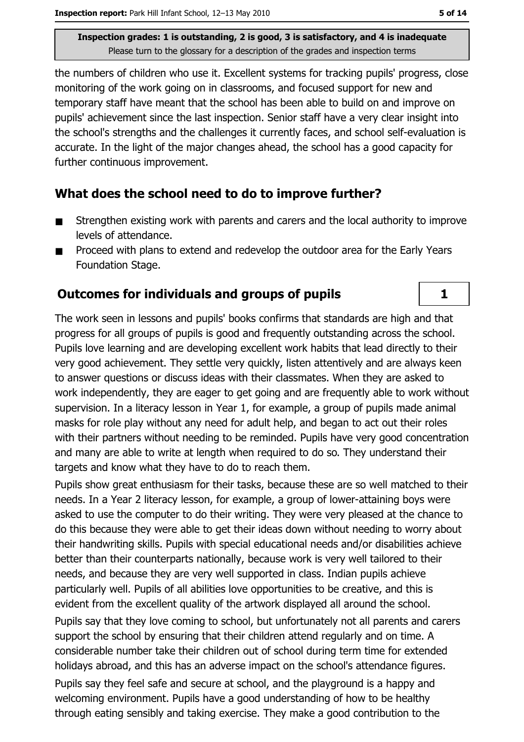the numbers of children who use it. Excellent systems for tracking pupils' progress, close monitoring of the work going on in classrooms, and focused support for new and temporary staff have meant that the school has been able to build on and improve on pupils' achievement since the last inspection. Senior staff have a very clear insight into the school's strengths and the challenges it currently faces, and school self-evaluation is accurate. In the light of the major changes ahead, the school has a good capacity for further continuous improvement.

#### What does the school need to do to improve further?

- Strengthen existing work with parents and carers and the local authority to improve  $\blacksquare$ levels of attendance.
- Proceed with plans to extend and redevelop the outdoor area for the Early Years  $\blacksquare$ Foundation Stage.

#### **Outcomes for individuals and groups of pupils**

The work seen in lessons and pupils' books confirms that standards are high and that progress for all groups of pupils is good and frequently outstanding across the school. Pupils love learning and are developing excellent work habits that lead directly to their very good achievement. They settle very guickly, listen attentively and are always keen to answer questions or discuss ideas with their classmates. When they are asked to work independently, they are eager to get going and are frequently able to work without supervision. In a literacy lesson in Year 1, for example, a group of pupils made animal masks for role play without any need for adult help, and began to act out their roles with their partners without needing to be reminded. Pupils have very good concentration and many are able to write at length when required to do so. They understand their targets and know what they have to do to reach them.

Pupils show great enthusiasm for their tasks, because these are so well matched to their needs. In a Year 2 literacy lesson, for example, a group of lower-attaining boys were asked to use the computer to do their writing. They were very pleased at the chance to do this because they were able to get their ideas down without needing to worry about their handwriting skills. Pupils with special educational needs and/or disabilities achieve better than their counterparts nationally, because work is very well tailored to their needs, and because they are very well supported in class. Indian pupils achieve particularly well. Pupils of all abilities love opportunities to be creative, and this is evident from the excellent quality of the artwork displayed all around the school.

Pupils say that they love coming to school, but unfortunately not all parents and carers support the school by ensuring that their children attend regularly and on time. A considerable number take their children out of school during term time for extended holidays abroad, and this has an adverse impact on the school's attendance figures.

Pupils say they feel safe and secure at school, and the playground is a happy and welcoming environment. Pupils have a good understanding of how to be healthy through eating sensibly and taking exercise. They make a good contribution to the

 $\mathbf{1}$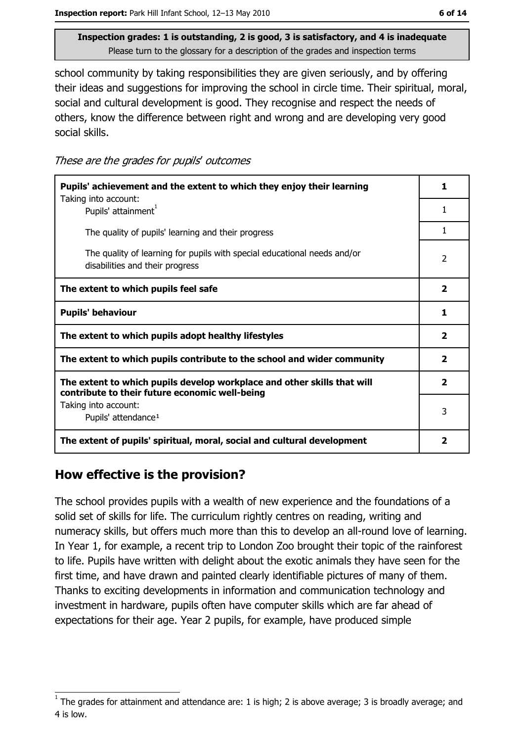school community by taking responsibilities they are given seriously, and by offering their ideas and suggestions for improving the school in circle time. Their spiritual, moral, social and cultural development is good. They recognise and respect the needs of others, know the difference between right and wrong and are developing very good social skills.

These are the grades for pupils' outcomes

| Pupils' achievement and the extent to which they enjoy their learning                                                     |                         |
|---------------------------------------------------------------------------------------------------------------------------|-------------------------|
| Taking into account:<br>Pupils' attainment <sup>1</sup>                                                                   | 1                       |
| The quality of pupils' learning and their progress                                                                        | 1                       |
| The quality of learning for pupils with special educational needs and/or<br>disabilities and their progress               | $\overline{2}$          |
| The extent to which pupils feel safe                                                                                      | $\overline{\mathbf{2}}$ |
| <b>Pupils' behaviour</b>                                                                                                  | 1                       |
| The extent to which pupils adopt healthy lifestyles                                                                       | $\overline{\mathbf{2}}$ |
| The extent to which pupils contribute to the school and wider community                                                   | $\overline{\mathbf{2}}$ |
| The extent to which pupils develop workplace and other skills that will<br>contribute to their future economic well-being | $\overline{2}$          |
| Taking into account:<br>Pupils' attendance <sup>1</sup>                                                                   | 3                       |
| The extent of pupils' spiritual, moral, social and cultural development                                                   | $\overline{\mathbf{2}}$ |

#### How effective is the provision?

The school provides pupils with a wealth of new experience and the foundations of a solid set of skills for life. The curriculum rightly centres on reading, writing and numeracy skills, but offers much more than this to develop an all-round love of learning. In Year 1, for example, a recent trip to London Zoo brought their topic of the rainforest to life. Pupils have written with delight about the exotic animals they have seen for the first time, and have drawn and painted clearly identifiable pictures of many of them. Thanks to exciting developments in information and communication technology and investment in hardware, pupils often have computer skills which are far ahead of expectations for their age. Year 2 pupils, for example, have produced simple

The grades for attainment and attendance are: 1 is high; 2 is above average; 3 is broadly average; and 4 is low.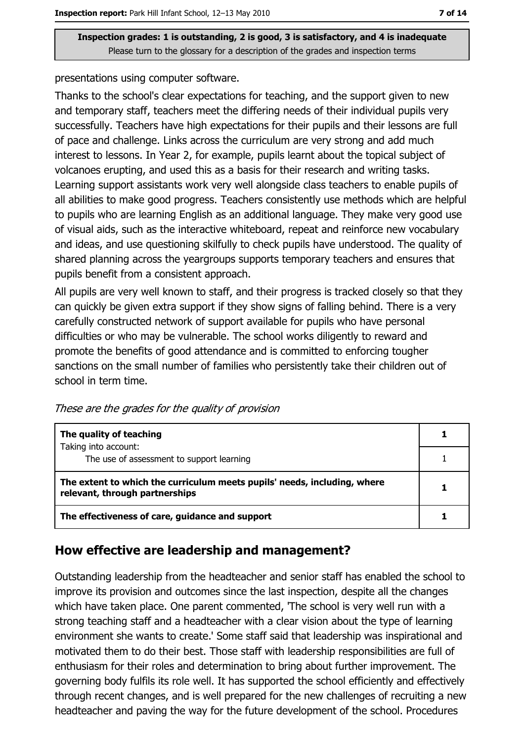presentations using computer software.

Thanks to the school's clear expectations for teaching, and the support given to new and temporary staff, teachers meet the differing needs of their individual pupils very successfully. Teachers have high expectations for their pupils and their lessons are full of pace and challenge. Links across the curriculum are very strong and add much interest to lessons. In Year 2, for example, pupils learnt about the topical subject of volcanoes erupting, and used this as a basis for their research and writing tasks. Learning support assistants work very well alongside class teachers to enable pupils of all abilities to make good progress. Teachers consistently use methods which are helpful to pupils who are learning English as an additional language. They make very good use of visual aids, such as the interactive whiteboard, repeat and reinforce new vocabulary and ideas, and use questioning skilfully to check pupils have understood. The quality of shared planning across the yeargroups supports temporary teachers and ensures that pupils benefit from a consistent approach.

All pupils are very well known to staff, and their progress is tracked closely so that they can quickly be given extra support if they show signs of falling behind. There is a very carefully constructed network of support available for pupils who have personal difficulties or who may be vulnerable. The school works diligently to reward and promote the benefits of good attendance and is committed to enforcing tougher sanctions on the small number of families who persistently take their children out of school in term time.

These are the grades for the quality of provision

| The quality of teaching                                                                                    |  |
|------------------------------------------------------------------------------------------------------------|--|
| Taking into account:<br>The use of assessment to support learning                                          |  |
| The extent to which the curriculum meets pupils' needs, including, where<br>relevant, through partnerships |  |
| The effectiveness of care, guidance and support                                                            |  |

#### How effective are leadership and management?

Outstanding leadership from the headteacher and senior staff has enabled the school to improve its provision and outcomes since the last inspection, despite all the changes which have taken place. One parent commented, The school is very well run with a strong teaching staff and a headteacher with a clear vision about the type of learning environment she wants to create.' Some staff said that leadership was inspirational and motivated them to do their best. Those staff with leadership responsibilities are full of enthusiasm for their roles and determination to bring about further improvement. The governing body fulfils its role well. It has supported the school efficiently and effectively through recent changes, and is well prepared for the new challenges of recruiting a new headteacher and paving the way for the future development of the school. Procedures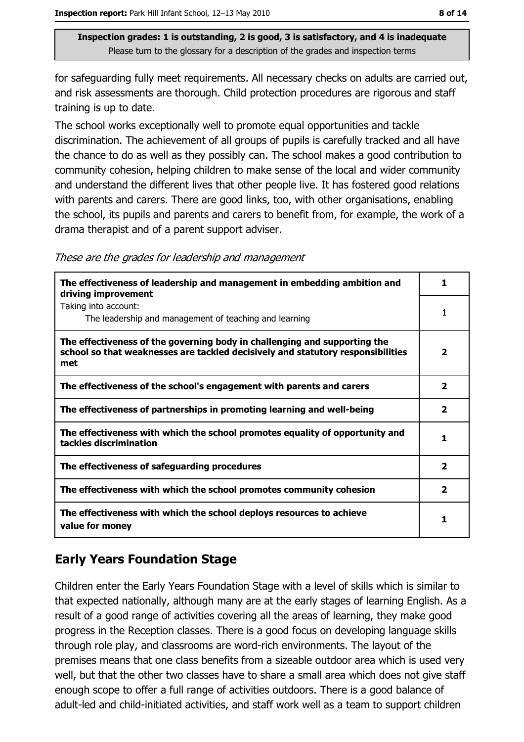for safeguarding fully meet requirements. All necessary checks on adults are carried out, and risk assessments are thorough. Child protection procedures are rigorous and staff training is up to date.

The school works exceptionally well to promote equal opportunities and tackle discrimination. The achievement of all groups of pupils is carefully tracked and all have the chance to do as well as they possibly can. The school makes a good contribution to community cohesion, helping children to make sense of the local and wider community and understand the different lives that other people live. It has fostered good relations with parents and carers. There are good links, too, with other organisations, enabling the school, its pupils and parents and carers to benefit from, for example, the work of a drama therapist and of a parent support adviser.

These are the grades for leadership and management

| The effectiveness of leadership and management in embedding ambition and<br>driving improvement                                                                     |                         |
|---------------------------------------------------------------------------------------------------------------------------------------------------------------------|-------------------------|
| Taking into account:<br>The leadership and management of teaching and learning                                                                                      |                         |
| The effectiveness of the governing body in challenging and supporting the<br>school so that weaknesses are tackled decisively and statutory responsibilities<br>met | $\overline{\mathbf{2}}$ |
| The effectiveness of the school's engagement with parents and carers                                                                                                | $\overline{\mathbf{2}}$ |
| The effectiveness of partnerships in promoting learning and well-being                                                                                              | $\mathbf{z}$            |
| The effectiveness with which the school promotes equality of opportunity and<br>tackles discrimination                                                              |                         |
| The effectiveness of safeguarding procedures                                                                                                                        | $\mathbf{z}$            |
| The effectiveness with which the school promotes community cohesion                                                                                                 | 2                       |
| The effectiveness with which the school deploys resources to achieve<br>value for money                                                                             |                         |

#### **Early Years Foundation Stage**

Children enter the Early Years Foundation Stage with a level of skills which is similar to that expected nationally, although many are at the early stages of learning English. As a result of a good range of activities covering all the areas of learning, they make good progress in the Reception classes. There is a good focus on developing language skills through role play, and classrooms are word-rich environments. The layout of the premises means that one class benefits from a sizeable outdoor area which is used very well, but that the other two classes have to share a small area which does not give staff enough scope to offer a full range of activities outdoors. There is a good balance of adult-led and child-initiated activities, and staff work well as a team to support children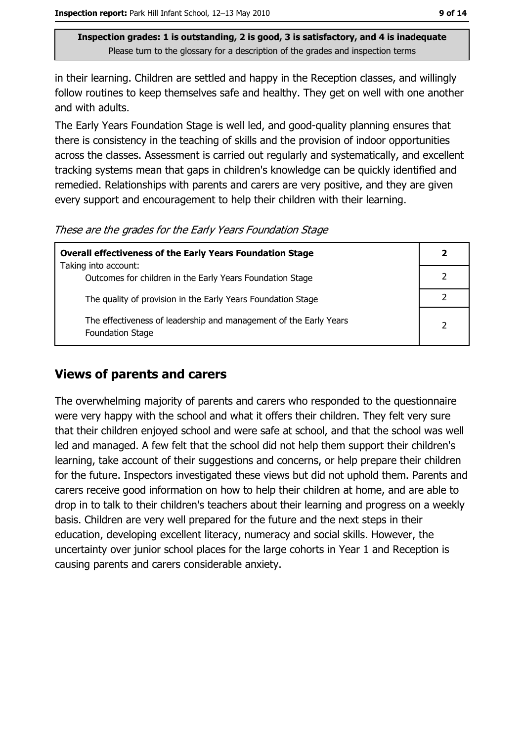in their learning. Children are settled and happy in the Reception classes, and willingly follow routines to keep themselves safe and healthy. They get on well with one another and with adults.

The Early Years Foundation Stage is well led, and good-quality planning ensures that there is consistency in the teaching of skills and the provision of indoor opportunities across the classes. Assessment is carried out regularly and systematically, and excellent tracking systems mean that gaps in children's knowledge can be quickly identified and remedied. Relationships with parents and carers are very positive, and they are given every support and encouragement to help their children with their learning.

These are the grades for the Early Years Foundation Stage

| <b>Overall effectiveness of the Early Years Foundation Stage</b>                             | $\mathbf{2}$  |
|----------------------------------------------------------------------------------------------|---------------|
| Taking into account:                                                                         |               |
| Outcomes for children in the Early Years Foundation Stage                                    |               |
| The quality of provision in the Early Years Foundation Stage                                 |               |
| The effectiveness of leadership and management of the Early Years<br><b>Foundation Stage</b> | $\mathcal{P}$ |

#### **Views of parents and carers**

The overwhelming majority of parents and carers who responded to the questionnaire were very happy with the school and what it offers their children. They felt very sure that their children enjoved school and were safe at school, and that the school was well led and managed. A few felt that the school did not help them support their children's learning, take account of their suggestions and concerns, or help prepare their children for the future. Inspectors investigated these views but did not uphold them. Parents and carers receive good information on how to help their children at home, and are able to drop in to talk to their children's teachers about their learning and progress on a weekly basis. Children are very well prepared for the future and the next steps in their education, developing excellent literacy, numeracy and social skills. However, the uncertainty over junior school places for the large cohorts in Year 1 and Reception is causing parents and carers considerable anxiety.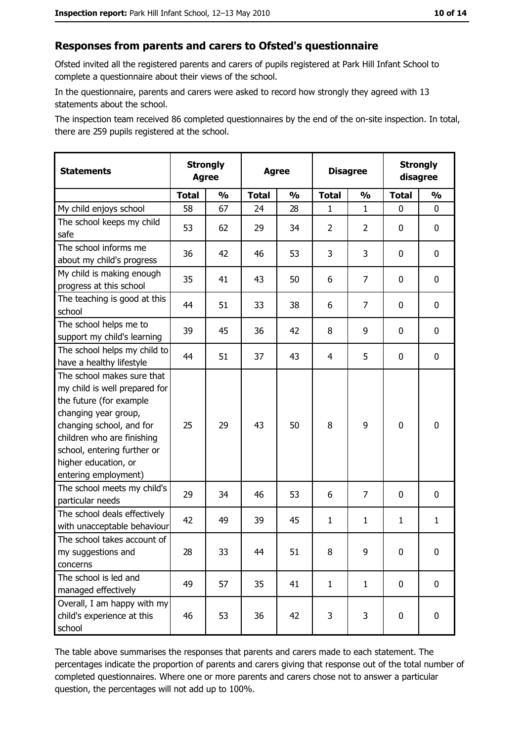#### Responses from parents and carers to Ofsted's questionnaire

Ofsted invited all the registered parents and carers of pupils registered at Park Hill Infant School to complete a questionnaire about their views of the school.

In the questionnaire, parents and carers were asked to record how strongly they agreed with 13 statements about the school.

The inspection team received 86 completed questionnaires by the end of the on-site inspection. In total, there are 259 pupils registered at the school.

| <b>Statements</b>                                                                                                                                                                                                                                       | <b>Strongly</b><br><b>Agree</b> |               | <b>Agree</b> |               |                | <b>Disagree</b> |              | <b>Strongly</b><br>disagree |  |
|---------------------------------------------------------------------------------------------------------------------------------------------------------------------------------------------------------------------------------------------------------|---------------------------------|---------------|--------------|---------------|----------------|-----------------|--------------|-----------------------------|--|
|                                                                                                                                                                                                                                                         | <b>Total</b>                    | $\frac{1}{2}$ | <b>Total</b> | $\frac{0}{0}$ | <b>Total</b>   | $\frac{0}{0}$   | <b>Total</b> | $\frac{1}{2}$               |  |
| My child enjoys school                                                                                                                                                                                                                                  | 58                              | 67            | 24           | 28            | 1              | $\mathbf{1}$    | 0            | 0                           |  |
| The school keeps my child<br>safe                                                                                                                                                                                                                       | 53                              | 62            | 29           | 34            | $\overline{2}$ | 2               | 0            | 0                           |  |
| The school informs me<br>about my child's progress                                                                                                                                                                                                      | 36                              | 42            | 46           | 53            | 3              | 3               | $\mathbf{0}$ | 0                           |  |
| My child is making enough<br>progress at this school                                                                                                                                                                                                    | 35                              | 41            | 43           | 50            | 6              | 7               | 0            | 0                           |  |
| The teaching is good at this<br>school                                                                                                                                                                                                                  | 44                              | 51            | 33           | 38            | 6              | 7               | 0            | 0                           |  |
| The school helps me to<br>support my child's learning                                                                                                                                                                                                   | 39                              | 45            | 36           | 42            | 8              | 9               | 0            | 0                           |  |
| The school helps my child to<br>have a healthy lifestyle                                                                                                                                                                                                | 44                              | 51            | 37           | 43            | 4              | 5               | 0            | 0                           |  |
| The school makes sure that<br>my child is well prepared for<br>the future (for example<br>changing year group,<br>changing school, and for<br>children who are finishing<br>school, entering further or<br>higher education, or<br>entering employment) | 25                              | 29            | 43           | 50            | 8              | 9               | $\mathbf 0$  | 0                           |  |
| The school meets my child's<br>particular needs                                                                                                                                                                                                         | 29                              | 34            | 46           | 53            | 6              | 7               | 0            | 0                           |  |
| The school deals effectively<br>with unacceptable behaviour                                                                                                                                                                                             | 42                              | 49            | 39           | 45            | $\mathbf{1}$   | $\mathbf{1}$    | 1            | $\mathbf{1}$                |  |
| The school takes account of<br>my suggestions and<br>concerns                                                                                                                                                                                           | 28                              | 33            | 44           | 51            | 8              | 9               | 0            | 0                           |  |
| The school is led and<br>managed effectively                                                                                                                                                                                                            | 49                              | 57            | 35           | 41            | $\mathbf{1}$   | $\mathbf{1}$    | 0            | $\mathbf 0$                 |  |
| Overall, I am happy with my<br>child's experience at this<br>school                                                                                                                                                                                     | 46                              | 53            | 36           | 42            | 3              | 3               | $\mathbf 0$  | 0                           |  |

The table above summarises the responses that parents and carers made to each statement. The percentages indicate the proportion of parents and carers giving that response out of the total number of completed questionnaires. Where one or more parents and carers chose not to answer a particular question, the percentages will not add up to 100%.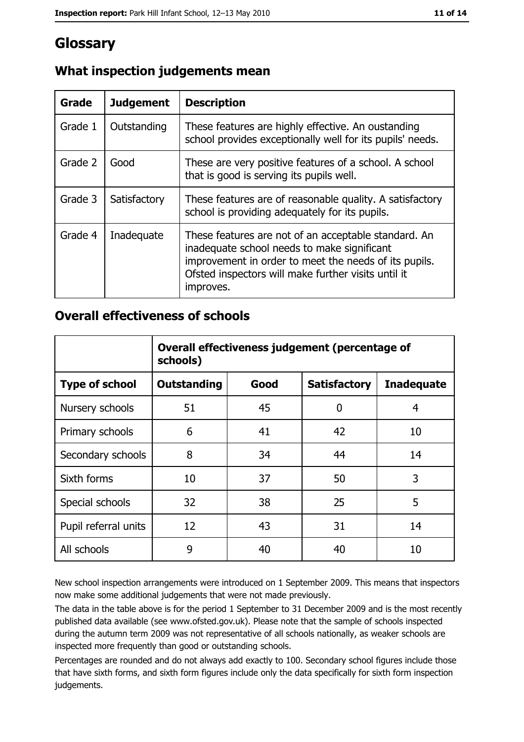## Glossary

| Grade   | <b>Judgement</b> | <b>Description</b>                                                                                                                                                                                                               |
|---------|------------------|----------------------------------------------------------------------------------------------------------------------------------------------------------------------------------------------------------------------------------|
| Grade 1 | Outstanding      | These features are highly effective. An oustanding<br>school provides exceptionally well for its pupils' needs.                                                                                                                  |
| Grade 2 | Good             | These are very positive features of a school. A school<br>that is good is serving its pupils well.                                                                                                                               |
| Grade 3 | Satisfactory     | These features are of reasonable quality. A satisfactory<br>school is providing adequately for its pupils.                                                                                                                       |
| Grade 4 | Inadequate       | These features are not of an acceptable standard. An<br>inadequate school needs to make significant<br>improvement in order to meet the needs of its pupils.<br>Ofsted inspectors will make further visits until it<br>improves. |

#### What inspection judgements mean

#### **Overall effectiveness of schools**

|                       | Overall effectiveness judgement (percentage of<br>schools) |      |                     |                   |
|-----------------------|------------------------------------------------------------|------|---------------------|-------------------|
| <b>Type of school</b> | <b>Outstanding</b>                                         | Good | <b>Satisfactory</b> | <b>Inadequate</b> |
| Nursery schools       | 51                                                         | 45   | 0                   | 4                 |
| Primary schools       | 6                                                          | 41   | 42                  | 10                |
| Secondary schools     | 8                                                          | 34   | 44                  | 14                |
| Sixth forms           | 10                                                         | 37   | 50                  | 3                 |
| Special schools       | 32                                                         | 38   | 25                  | 5                 |
| Pupil referral units  | 12                                                         | 43   | 31                  | 14                |
| All schools           | 9                                                          | 40   | 40                  | 10                |

New school inspection arrangements were introduced on 1 September 2009. This means that inspectors now make some additional judgements that were not made previously.

The data in the table above is for the period 1 September to 31 December 2009 and is the most recently published data available (see www.ofsted.gov.uk). Please note that the sample of schools inspected during the autumn term 2009 was not representative of all schools nationally, as weaker schools are inspected more frequently than good or outstanding schools.

Percentages are rounded and do not always add exactly to 100. Secondary school figures include those that have sixth forms, and sixth form figures include only the data specifically for sixth form inspection judgements.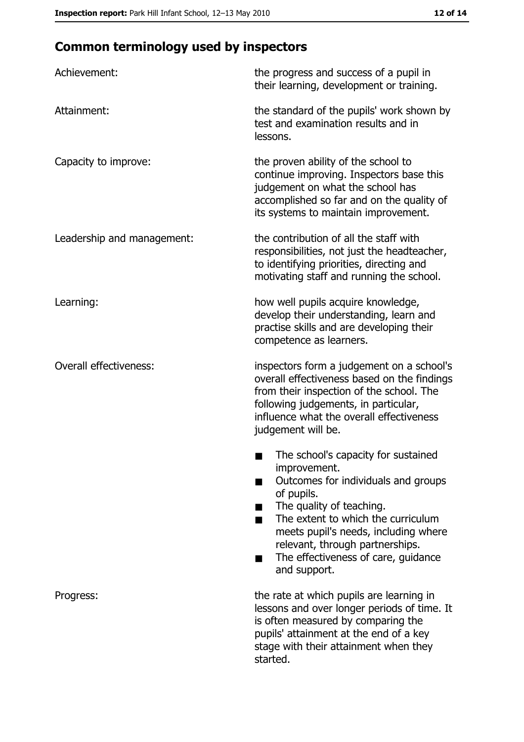## **Common terminology used by inspectors**

| Achievement:                  | the progress and success of a pupil in<br>their learning, development or training.                                                                                                                                                                                                                           |
|-------------------------------|--------------------------------------------------------------------------------------------------------------------------------------------------------------------------------------------------------------------------------------------------------------------------------------------------------------|
| Attainment:                   | the standard of the pupils' work shown by<br>test and examination results and in<br>lessons.                                                                                                                                                                                                                 |
| Capacity to improve:          | the proven ability of the school to<br>continue improving. Inspectors base this<br>judgement on what the school has<br>accomplished so far and on the quality of<br>its systems to maintain improvement.                                                                                                     |
| Leadership and management:    | the contribution of all the staff with<br>responsibilities, not just the headteacher,<br>to identifying priorities, directing and<br>motivating staff and running the school.                                                                                                                                |
| Learning:                     | how well pupils acquire knowledge,<br>develop their understanding, learn and<br>practise skills and are developing their<br>competence as learners.                                                                                                                                                          |
| <b>Overall effectiveness:</b> | inspectors form a judgement on a school's<br>overall effectiveness based on the findings<br>from their inspection of the school. The<br>following judgements, in particular,<br>influence what the overall effectiveness<br>judgement will be.                                                               |
|                               | The school's capacity for sustained<br>improvement.<br>Outcomes for individuals and groups<br>of pupils.<br>The quality of teaching.<br>The extent to which the curriculum<br>meets pupil's needs, including where<br>relevant, through partnerships.<br>The effectiveness of care, guidance<br>and support. |
| Progress:                     | the rate at which pupils are learning in<br>lessons and over longer periods of time. It<br>is often measured by comparing the<br>pupils' attainment at the end of a key<br>stage with their attainment when they<br>started.                                                                                 |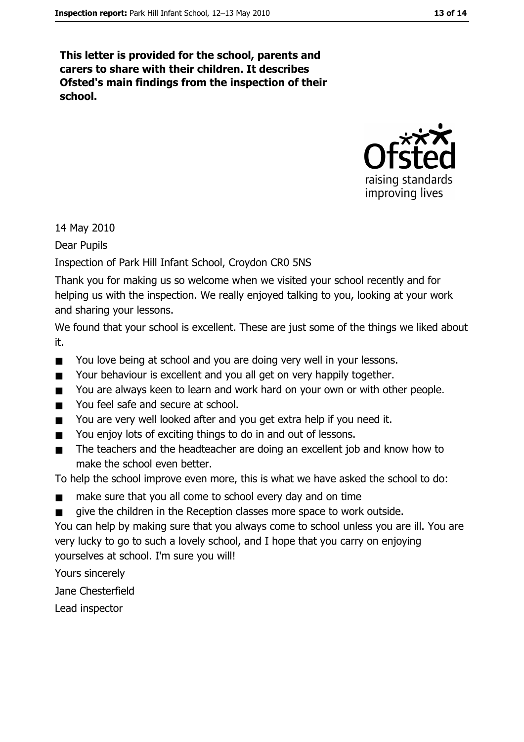This letter is provided for the school, parents and carers to share with their children. It describes Ofsted's main findings from the inspection of their school.



14 May 2010

Dear Pupils

Inspection of Park Hill Infant School, Croydon CR0 5NS

Thank you for making us so welcome when we visited your school recently and for helping us with the inspection. We really enjoyed talking to you, looking at your work and sharing your lessons.

We found that your school is excellent. These are just some of the things we liked about it.

- $\blacksquare$ You love being at school and you are doing very well in your lessons.
- Your behaviour is excellent and you all get on very happily together.  $\blacksquare$
- $\blacksquare$ You are always keen to learn and work hard on your own or with other people.
- You feel safe and secure at school.  $\blacksquare$
- You are very well looked after and you get extra help if you need it.  $\blacksquare$
- You enjoy lots of exciting things to do in and out of lessons.  $\blacksquare$
- The teachers and the headteacher are doing an excellent job and know how to  $\blacksquare$ make the school even better.

To help the school improve even more, this is what we have asked the school to do:

- make sure that you all come to school every day and on time  $\blacksquare$
- give the children in the Reception classes more space to work outside.  $\blacksquare$

You can help by making sure that you always come to school unless you are ill. You are very lucky to go to such a lovely school, and I hope that you carry on enjoying yourselves at school. I'm sure you will!

Yours sincerely

Jane Chesterfield

Lead inspector